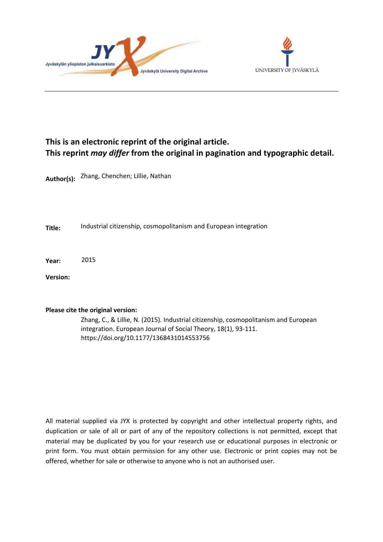



# **This is an electronic reprint of the original article. This reprint** *may differ* **from the original in pagination and typographic detail.**

**Author(s):**  Zhang, Chenchen; Lillie, Nathan

**Title:** Industrial citizenship, cosmopolitanism and European integration

**Year:**  2015

**Version:**

# **Please cite the original version:**

Zhang, C., & Lillie, N. (2015). Industrial citizenship, cosmopolitanism and European integration. European Journal of Social Theory, 18(1), 93-111. https://doi.org/10.1177/1368431014553756

All material supplied via JYX is protected by copyright and other intellectual property rights, and duplication or sale of all or part of any of the repository collections is not permitted, except that material may be duplicated by you for your research use or educational purposes in electronic or print form. You must obtain permission for any other use. Electronic or print copies may not be offered, whether for sale or otherwise to anyone who is not an authorised user.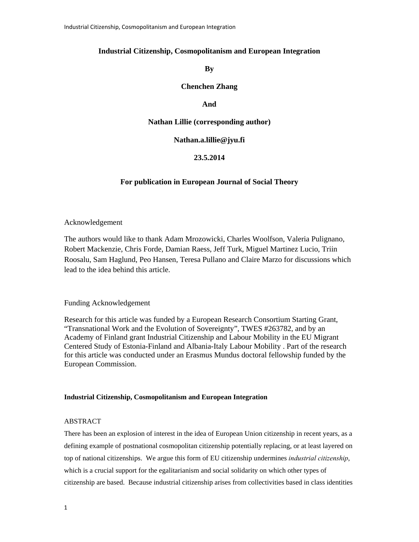# **Industrial Citizenship, Cosmopolitanism and European Integration**

**By** 

**Chenchen Zhang** 

## **And**

### **Nathan Lillie (corresponding author)**

**Nathan.a.lillie@jyu.fi** 

# **23.5.2014**

### **For publication in European Journal of Social Theory**

### Acknowledgement

The authors would like to thank Adam Mrozowicki, Charles Woolfson, Valeria Pulignano, Robert Mackenzie, Chris Forde, Damian Raess, Jeff Turk, Miguel Martinez Lucio, Triin Roosalu, Sam Haglund, Peo Hansen, Teresa Pullano and Claire Marzo for discussions which lead to the idea behind this article.

# Funding Acknowledgement

Research for this article was funded by a European Research Consortium Starting Grant, "Transnational Work and the Evolution of Sovereignty", TWES #263782, and by an Academy of Finland grant Industrial Citizenship and Labour Mobility in the EU Migrant Centered Study of Estonia-Finland and Albania-Italy Labour Mobility . Part of the research for this article was conducted under an Erasmus Mundus doctoral fellowship funded by the European Commission.

### **Industrial Citizenship, Cosmopolitanism and European Integration**

# ABSTRACT

There has been an explosion of interest in the idea of European Union citizenship in recent years, as a defining example of postnational cosmopolitan citizenship potentially replacing, or at least layered on top of national citizenships. We argue this form of EU citizenship undermines *industrial citizenship*, which is a crucial support for the egalitarianism and social solidarity on which other types of citizenship are based. Because industrial citizenship arises from collectivities based in class identities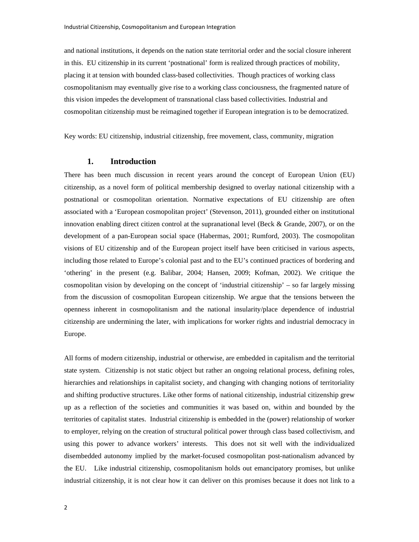and national institutions, it depends on the nation state territorial order and the social closure inherent in this. EU citizenship in its current 'postnational' form is realized through practices of mobility, placing it at tension with bounded class-based collectivities. Though practices of working class cosmopolitanism may eventually give rise to a working class conciousness, the fragmented nature of this vision impedes the development of transnational class based collectivities. Industrial and cosmopolitan citizenship must be reimagined together if European integration is to be democratized.

Key words: EU citizenship, industrial citizenship, free movement, class, community, migration

# **1. Introduction**

There has been much discussion in recent years around the concept of European Union (EU) citizenship, as a novel form of political membership designed to overlay national citizenship with a postnational or cosmopolitan orientation. Normative expectations of EU citizenship are often associated with a 'European cosmopolitan project' (Stevenson, 2011), grounded either on institutional innovation enabling direct citizen control at the supranational level (Beck & Grande, 2007), or on the development of a pan-European social space (Habermas, 2001; Rumford, 2003). The cosmopolitan visions of EU citizenship and of the European project itself have been criticised in various aspects, including those related to Europe's colonial past and to the EU's continued practices of bordering and 'othering' in the present (e.g. Balibar, 2004; Hansen, 2009; Kofman, 2002). We critique the cosmopolitan vision by developing on the concept of 'industrial citizenship' – so far largely missing from the discussion of cosmopolitan European citizenship. We argue that the tensions between the openness inherent in cosmopolitanism and the national insularity/place dependence of industrial citizenship are undermining the later, with implications for worker rights and industrial democracy in Europe.

All forms of modern citizenship, industrial or otherwise, are embedded in capitalism and the territorial state system. Citizenship is not static object but rather an ongoing relational process, defining roles, hierarchies and relationships in capitalist society, and changing with changing notions of territoriality and shifting productive structures. Like other forms of national citizenship, industrial citizenship grew up as a reflection of the societies and communities it was based on, within and bounded by the territories of capitalist states. Industrial citizenship is embedded in the (power) relationship of worker to employer, relying on the creation of structural political power through class based collectivism, and using this power to advance workers' interests. This does not sit well with the individualized disembedded autonomy implied by the market-focused cosmopolitan post-nationalism advanced by the EU. Like industrial citizenship, cosmopolitanism holds out emancipatory promises, but unlike industrial citizenship, it is not clear how it can deliver on this promises because it does not link to a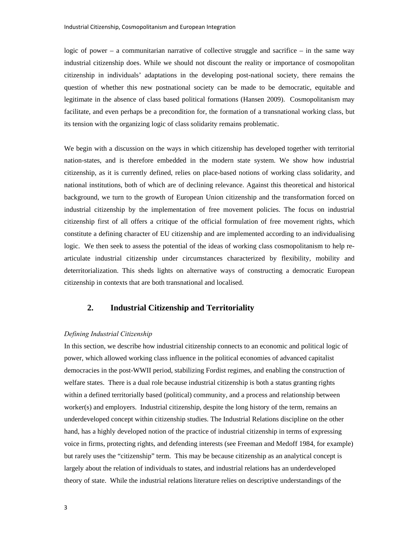logic of power – a communitarian narrative of collective struggle and sacrifice – in the same way industrial citizenship does. While we should not discount the reality or importance of cosmopolitan citizenship in individuals' adaptations in the developing post-national society, there remains the question of whether this new postnational society can be made to be democratic, equitable and legitimate in the absence of class based political formations (Hansen 2009). Cosmopolitanism may facilitate, and even perhaps be a precondition for, the formation of a transnational working class, but its tension with the organizing logic of class solidarity remains problematic.

We begin with a discussion on the ways in which citizenship has developed together with territorial nation-states, and is therefore embedded in the modern state system. We show how industrial citizenship, as it is currently defined, relies on place-based notions of working class solidarity, and national institutions, both of which are of declining relevance. Against this theoretical and historical background, we turn to the growth of European Union citizenship and the transformation forced on industrial citizenship by the implementation of free movement policies. The focus on industrial citizenship first of all offers a critique of the official formulation of free movement rights, which constitute a defining character of EU citizenship and are implemented according to an individualising logic. We then seek to assess the potential of the ideas of working class cosmopolitanism to help rearticulate industrial citizenship under circumstances characterized by flexibility, mobility and deterritorialization. This sheds lights on alternative ways of constructing a democratic European citizenship in contexts that are both transnational and localised.

# **2. Industrial Citizenship and Territoriality**

### *Defining Industrial Citizenship*

In this section, we describe how industrial citizenship connects to an economic and political logic of power, which allowed working class influence in the political economies of advanced capitalist democracies in the post-WWII period, stabilizing Fordist regimes, and enabling the construction of welfare states. There is a dual role because industrial citizenship is both a status granting rights within a defined territorially based (political) community, and a process and relationship between worker(s) and employers. Industrial citizenship, despite the long history of the term, remains an underdeveloped concept within citizenship studies. The Industrial Relations discipline on the other hand, has a highly developed notion of the practice of industrial citizenship in terms of expressing voice in firms, protecting rights, and defending interests (see Freeman and Medoff 1984, for example) but rarely uses the "citizenship" term. This may be because citizenship as an analytical concept is largely about the relation of individuals to states, and industrial relations has an underdeveloped theory of state. While the industrial relations literature relies on descriptive understandings of the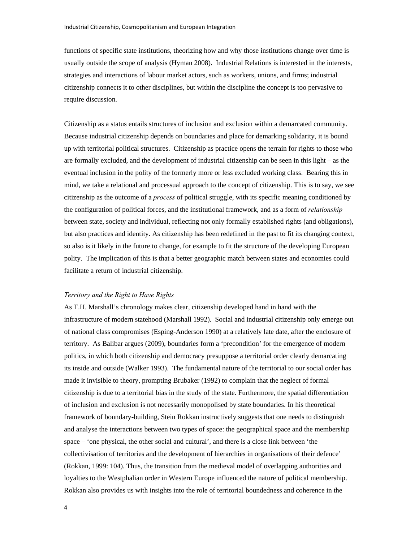functions of specific state institutions, theorizing how and why those institutions change over time is usually outside the scope of analysis (Hyman 2008). Industrial Relations is interested in the interests, strategies and interactions of labour market actors, such as workers, unions, and firms; industrial citizenship connects it to other disciplines, but within the discipline the concept is too pervasive to require discussion.

Citizenship as a status entails structures of inclusion and exclusion within a demarcated community. Because industrial citizenship depends on boundaries and place for demarking solidarity, it is bound up with territorial political structures. Citizenship as practice opens the terrain for rights to those who are formally excluded, and the development of industrial citizenship can be seen in this light – as the eventual inclusion in the polity of the formerly more or less excluded working class. Bearing this in mind, we take a relational and processual approach to the concept of citizenship. This is to say, we see citizenship as the outcome of a *process* of political struggle, with its specific meaning conditioned by the configuration of political forces, and the institutional framework, and as a form of *relationship* between state, society and individual, reflecting not only formally established rights (and obligations), but also practices and identity. As citizenship has been redefined in the past to fit its changing context, so also is it likely in the future to change, for example to fit the structure of the developing European polity. The implication of this is that a better geographic match between states and economies could facilitate a return of industrial citizenship.

#### *Territory and the Right to Have Rights*

As T.H. Marshall's chronology makes clear, citizenship developed hand in hand with the infrastructure of modern statehood (Marshall 1992). Social and industrial citizenship only emerge out of national class compromises (Esping-Anderson 1990) at a relatively late date, after the enclosure of territory. As Balibar argues (2009), boundaries form a 'precondition' for the emergence of modern politics, in which both citizenship and democracy presuppose a territorial order clearly demarcating its inside and outside (Walker 1993). The fundamental nature of the territorial to our social order has made it invisible to theory, prompting Brubaker (1992) to complain that the neglect of formal citizenship is due to a territorial bias in the study of the state. Furthermore, the spatial differentiation of inclusion and exclusion is not necessarily monopolised by state boundaries. In his theoretical framework of boundary-building, Stein Rokkan instructively suggests that one needs to distinguish and analyse the interactions between two types of space: the geographical space and the membership space – 'one physical, the other social and cultural', and there is a close link between 'the collectivisation of territories and the development of hierarchies in organisations of their defence' (Rokkan, 1999: 104). Thus, the transition from the medieval model of overlapping authorities and loyalties to the Westphalian order in Western Europe influenced the nature of political membership. Rokkan also provides us with insights into the role of territorial boundedness and coherence in the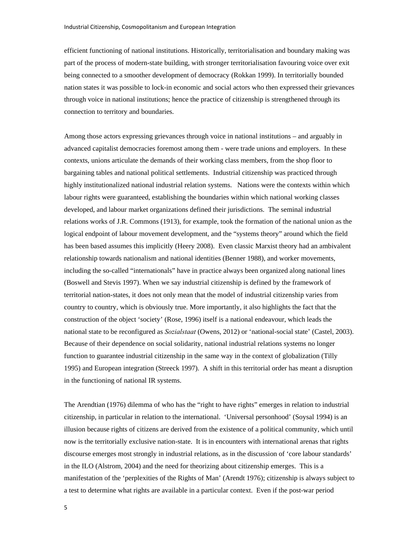efficient functioning of national institutions. Historically, territorialisation and boundary making was part of the process of modern-state building, with stronger territorialisation favouring voice over exit being connected to a smoother development of democracy (Rokkan 1999). In territorially bounded nation states it was possible to lock-in economic and social actors who then expressed their grievances through voice in national institutions; hence the practice of citizenship is strengthened through its connection to territory and boundaries.

Among those actors expressing grievances through voice in national institutions – and arguably in advanced capitalist democracies foremost among them - were trade unions and employers. In these contexts, unions articulate the demands of their working class members, from the shop floor to bargaining tables and national political settlements. Industrial citizenship was practiced through highly institutionalized national industrial relation systems. Nations were the contexts within which labour rights were guaranteed, establishing the boundaries within which national working classes developed, and labour market organizations defined their jurisdictions. The seminal industrial relations works of J.R. Commons (1913), for example, took the formation of the national union as the logical endpoint of labour movement development, and the "systems theory" around which the field has been based assumes this implicitly (Heery 2008). Even classic Marxist theory had an ambivalent relationship towards nationalism and national identities (Benner 1988), and worker movements, including the so-called "internationals" have in practice always been organized along national lines (Boswell and Stevis 1997). When we say industrial citizenship is defined by the framework of territorial nation-states, it does not only mean that the model of industrial citizenship varies from country to country, which is obviously true. More importantly, it also highlights the fact that the construction of the object 'society' (Rose, 1996) itself is a national endeavour, which leads the national state to be reconfigured as *Sozialstaat* (Owens, 2012) or 'national-social state' (Castel, 2003). Because of their dependence on social solidarity, national industrial relations systems no longer function to guarantee industrial citizenship in the same way in the context of globalization (Tilly 1995) and European integration (Streeck 1997). A shift in this territorial order has meant a disruption in the functioning of national IR systems.

The Arendtian (1976) dilemma of who has the "right to have rights" emerges in relation to industrial citizenship, in particular in relation to the international. 'Universal personhood' (Soysal 1994) is an illusion because rights of citizens are derived from the existence of a political community, which until now is the territorially exclusive nation-state. It is in encounters with international arenas that rights discourse emerges most strongly in industrial relations, as in the discussion of 'core labour standards' in the ILO (Alstrom, 2004) and the need for theorizing about citizenship emerges. This is a manifestation of the 'perplexities of the Rights of Man' (Arendt 1976); citizenship is always subject to a test to determine what rights are available in a particular context. Even if the post-war period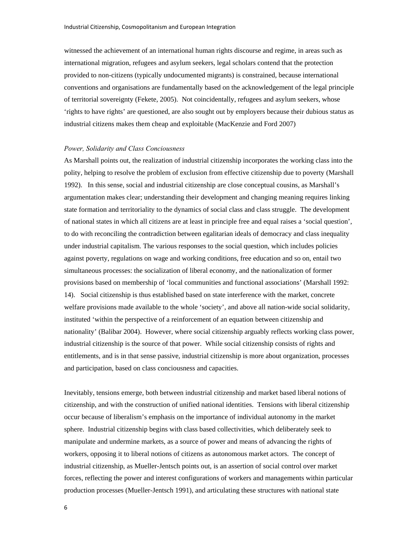witnessed the achievement of an international human rights discourse and regime, in areas such as international migration, refugees and asylum seekers, legal scholars contend that the protection provided to non-citizens (typically undocumented migrants) is constrained, because international conventions and organisations are fundamentally based on the acknowledgement of the legal principle of territorial sovereignty (Fekete, 2005). Not coincidentally, refugees and asylum seekers, whose 'rights to have rights' are questioned, are also sought out by employers because their dubious status as industrial citizens makes them cheap and exploitable (MacKenzie and Ford 2007)

#### *Power, Solidarity and Class Conciousness*

As Marshall points out, the realization of industrial citizenship incorporates the working class into the polity, helping to resolve the problem of exclusion from effective citizenship due to poverty (Marshall 1992). In this sense, social and industrial citizenship are close conceptual cousins, as Marshall's argumentation makes clear; understanding their development and changing meaning requires linking state formation and territoriality to the dynamics of social class and class struggle. The development of national states in which all citizens are at least in principle free and equal raises a 'social question', to do with reconciling the contradiction between egalitarian ideals of democracy and class inequality under industrial capitalism. The various responses to the social question, which includes policies against poverty, regulations on wage and working conditions, free education and so on, entail two simultaneous processes: the socialization of liberal economy, and the nationalization of former provisions based on membership of 'local communities and functional associations' (Marshall 1992: 14). Social citizenship is thus established based on state interference with the market, concrete welfare provisions made available to the whole 'society', and above all nation-wide social solidarity, instituted 'within the perspective of a reinforcement of an equation between citizenship and nationality' (Balibar 2004). However, where social citizenship arguably reflects working class power, industrial citizenship is the source of that power. While social citizenship consists of rights and entitlements, and is in that sense passive, industrial citizenship is more about organization, processes and participation, based on class conciousness and capacities.

Inevitably, tensions emerge, both between industrial citizenship and market based liberal notions of citizenship, and with the construction of unified national identities. Tensions with liberal citizenship occur because of liberalism's emphasis on the importance of individual autonomy in the market sphere. Industrial citizenship begins with class based collectivities, which deliberately seek to manipulate and undermine markets, as a source of power and means of advancing the rights of workers, opposing it to liberal notions of citizens as autonomous market actors. The concept of industrial citizenship, as Mueller-Jentsch points out, is an assertion of social control over market forces, reflecting the power and interest configurations of workers and managements within particular production processes (Mueller-Jentsch 1991), and articulating these structures with national state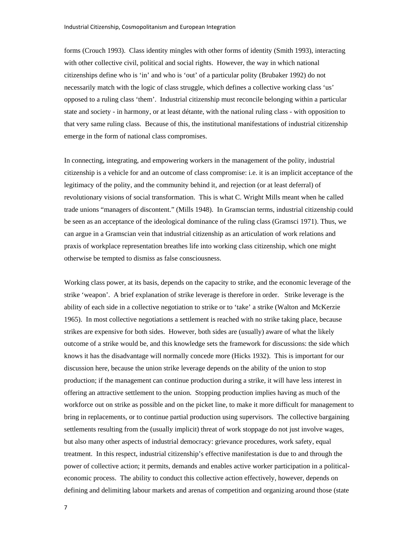forms (Crouch 1993). Class identity mingles with other forms of identity (Smith 1993), interacting with other collective civil, political and social rights. However, the way in which national citizenships define who is 'in' and who is 'out' of a particular polity (Brubaker 1992) do not necessarily match with the logic of class struggle, which defines a collective working class 'us' opposed to a ruling class 'them'. Industrial citizenship must reconcile belonging within a particular state and society - in harmony, or at least détante, with the national ruling class - with opposition to that very same ruling class. Because of this, the institutional manifestations of industrial citizenship emerge in the form of national class compromises.

In connecting, integrating, and empowering workers in the management of the polity, industrial citizenship is a vehicle for and an outcome of class compromise: i.e. it is an implicit acceptance of the legitimacy of the polity, and the community behind it, and rejection (or at least deferral) of revolutionary visions of social transformation. This is what C. Wright Mills meant when he called trade unions "managers of discontent." (Mills 1948). In Gramscian terms, industrial citizenship could be seen as an acceptance of the ideological dominance of the ruling class (Gramsci 1971). Thus, we can argue in a Gramscian vein that industrial citizenship as an articulation of work relations and praxis of workplace representation breathes life into working class citizenship, which one might otherwise be tempted to dismiss as false consciousness.

Working class power, at its basis, depends on the capacity to strike, and the economic leverage of the strike 'weapon'. A brief explanation of strike leverage is therefore in order. Strike leverage is the ability of each side in a collective negotiation to strike or to 'take' a strike (Walton and McKerzie 1965). In most collective negotiations a settlement is reached with no strike taking place, because strikes are expensive for both sides. However, both sides are (usually) aware of what the likely outcome of a strike would be, and this knowledge sets the framework for discussions: the side which knows it has the disadvantage will normally concede more (Hicks 1932). This is important for our discussion here, because the union strike leverage depends on the ability of the union to stop production; if the management can continue production during a strike, it will have less interest in offering an attractive settlement to the union. Stopping production implies having as much of the workforce out on strike as possible and on the picket line, to make it more difficult for management to bring in replacements, or to continue partial production using supervisors. The collective bargaining settlements resulting from the (usually implicit) threat of work stoppage do not just involve wages, but also many other aspects of industrial democracy: grievance procedures, work safety, equal treatment. In this respect, industrial citizenship's effective manifestation is due to and through the power of collective action; it permits, demands and enables active worker participation in a politicaleconomic process. The ability to conduct this collective action effectively, however, depends on defining and delimiting labour markets and arenas of competition and organizing around those (state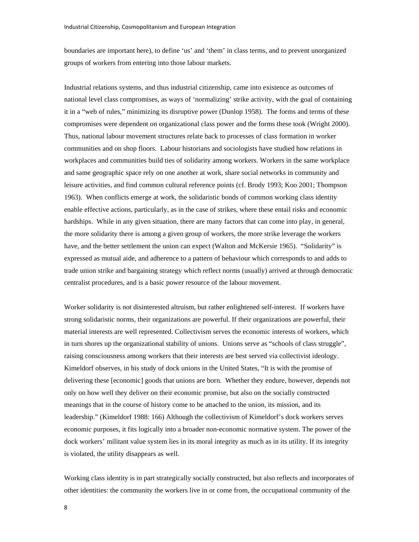boundaries are important here), to define 'us' and 'them' in class terms, and to prevent unorganized groups of workers from entering into those labour markets.

Industrial relations systems, and thus industrial citizenship, came into existence as outcomes of national level class compromises, as ways of 'normalizing' strike activity, with the goal of containing it in a "web of rules," minimizing its disruptive power (Dunlop 1958). The forms and terms of these compromises were dependent on organizational class power and the forms these took (Wright 2000). Thus, national labour movement structures relate back to processes of class formation in worker communities and on shop floors. Labour historians and sociologists have studied how relations in workplaces and communities build ties of solidarity among workers. Workers in the same workplace and same geographic space rely on one another at work, share social networks in community and leisure activities, and find common cultural reference points (cf. Brody 1993; Koo 2001; Thompson 1963). When conflicts emerge at work, the solidaristic bonds of common working class identity enable effective actions, particularly, as in the case of strikes, where these entail risks and economic hardships. While in any given situation, there are many factors that can come into play, in general, the more solidarity there is among a given group of workers, the more strike leverage the workers have, and the better settlement the union can expect (Walton and McKersie 1965). "Solidarity" is expressed as mutual aide, and adherence to a pattern of behaviour which corresponds to and adds to trade union strike and bargaining strategy which reflect norms (usually) arrived at through democratic centralist procedures, and is a basic power resource of the labour movement.

Worker solidarity is not disinterested altruism, but rather enlightened self-interest. If workers have strong solidaristic norms, their organizations are powerful. If their organizations are powerful, their material interests are well represented. Collectivism serves the economic interests of workers, which in turn shores up the organizational stability of unions. Unions serve as "schools of class struggle", raising consciousness among workers that their interests are best served via collectivist ideology. Kimeldorf observes, in his study of dock unions in the United States, "It is with the promise of delivering these [economic] goods that unions are born. Whether they endure, however, depends not only on how well they deliver on their economic promise, but also on the socially constructed meanings that in the course of history come to be attached to the union, its mission, and its leadership." (Kimeldorf 1988: 166) Although the collectivism of Kimeldorf's dock workers serves economic purposes, it fits logically into a broader non-economic normative system. The power of the dock workers' militant value system lies in its moral integrity as much as in its utility. If its integrity is violated, the utility disappears as well.

Working class identity is in part strategically socially constructed, but also reflects and incorporates of other identities: the community the workers live in or come from, the occupational community of the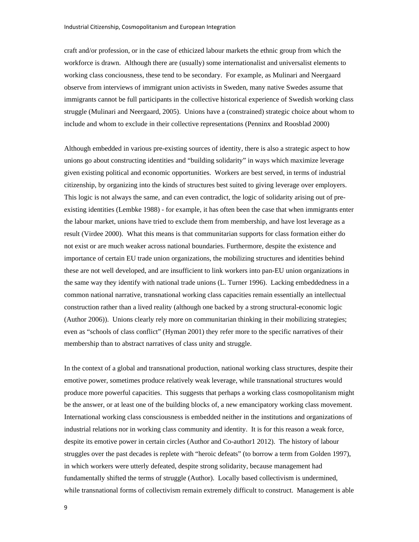craft and/or profession, or in the case of ethicized labour markets the ethnic group from which the workforce is drawn. Although there are (usually) some internationalist and universalist elements to working class conciousness, these tend to be secondary. For example, as Mulinari and Neergaard observe from interviews of immigrant union activists in Sweden, many native Swedes assume that immigrants cannot be full participants in the collective historical experience of Swedish working class struggle (Mulinari and Neergaard, 2005). Unions have a (constrained) strategic choice about whom to include and whom to exclude in their collective representations (Penninx and Roosblad 2000)

Although embedded in various pre-existing sources of identity, there is also a strategic aspect to how unions go about constructing identities and "building solidarity" in ways which maximize leverage given existing political and economic opportunities. Workers are best served, in terms of industrial citizenship, by organizing into the kinds of structures best suited to giving leverage over employers. This logic is not always the same, and can even contradict, the logic of solidarity arising out of preexisting identities (Lembke 1988) - for example, it has often been the case that when immigrants enter the labour market, unions have tried to exclude them from membership, and have lost leverage as a result (Virdee 2000). What this means is that communitarian supports for class formation either do not exist or are much weaker across national boundaries. Furthermore, despite the existence and importance of certain EU trade union organizations, the mobilizing structures and identities behind these are not well developed, and are insufficient to link workers into pan-EU union organizations in the same way they identify with national trade unions (L. Turner 1996). Lacking embeddedness in a common national narrative, transnational working class capacities remain essentially an intellectual construction rather than a lived reality (although one backed by a strong structural-economic logic (Author 2006)). Unions clearly rely more on communitarian thinking in their mobilizing strategies; even as "schools of class conflict" (Hyman 2001) they refer more to the specific narratives of their membership than to abstract narratives of class unity and struggle.

In the context of a global and transnational production, national working class structures, despite their emotive power, sometimes produce relatively weak leverage, while transnational structures would produce more powerful capacities. This suggests that perhaps a working class cosmopolitanism might be the answer, or at least one of the building blocks of, a new emancipatory working class movement. International working class consciousness is embedded neither in the institutions and organizations of industrial relations nor in working class community and identity. It is for this reason a weak force, despite its emotive power in certain circles (Author and Co-author1 2012). The history of labour struggles over the past decades is replete with "heroic defeats" (to borrow a term from Golden 1997), in which workers were utterly defeated, despite strong solidarity, because management had fundamentally shifted the terms of struggle (Author). Locally based collectivism is undermined, while transnational forms of collectivism remain extremely difficult to construct. Management is able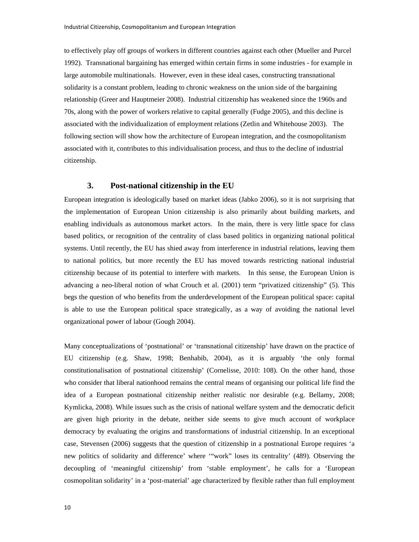to effectively play off groups of workers in different countries against each other (Mueller and Purcel 1992). Transnational bargaining has emerged within certain firms in some industries - for example in large automobile multinationals. However, even in these ideal cases, constructing transnational solidarity is a constant problem, leading to chronic weakness on the union side of the bargaining relationship (Greer and Hauptmeier 2008). Industrial citizenship has weakened since the 1960s and 70s, along with the power of workers relative to capital generally (Fudge 2005), and this decline is associated with the individualization of employment relations (Zetlin and Whitehouse 2003). The following section will show how the architecture of European integration, and the cosmopolitanism associated with it, contributes to this individualisation process, and thus to the decline of industrial citizenship.

# **3. Post-national citizenship in the EU**

European integration is ideologically based on market ideas (Jabko 2006), so it is not surprising that the implementation of European Union citizenship is also primarily about building markets, and enabling individuals as autonomous market actors. In the main, there is very little space for class based politics, or recognition of the centrality of class based politics in organizing national political systems. Until recently, the EU has shied away from interference in industrial relations, leaving them to national politics, but more recently the EU has moved towards restricting national industrial citizenship because of its potential to interfere with markets. In this sense, the European Union is advancing a neo-liberal notion of what Crouch et al. (2001) term "privatized citizenship" (5). This begs the question of who benefits from the underdevelopment of the European political space: capital is able to use the European political space strategically, as a way of avoiding the national level organizational power of labour (Gough 2004).

Many conceptualizations of 'postnational' or 'transnational citizenship' have drawn on the practice of EU citizenship (e.g. Shaw, 1998; Benhabib, 2004), as it is arguably 'the only formal constitutionalisation of postnational citizenship' (Cornelisse, 2010: 108). On the other hand, those who consider that liberal nationhood remains the central means of organising our political life find the idea of a European postnational citizenship neither realistic nor desirable (e.g. Bellamy, 2008; Kymlicka, 2008). While issues such as the crisis of national welfare system and the democratic deficit are given high priority in the debate, neither side seems to give much account of workplace democracy by evaluating the origins and transformations of industrial citizenship. In an exceptional case, Stevensen (2006) suggests that the question of citizenship in a postnational Europe requires 'a new politics of solidarity and difference' where '"work" loses its centrality' (489). Observing the decoupling of 'meaningful citizenship' from 'stable employment', he calls for a 'European cosmopolitan solidarity' in a 'post-material' age characterized by flexible rather than full employment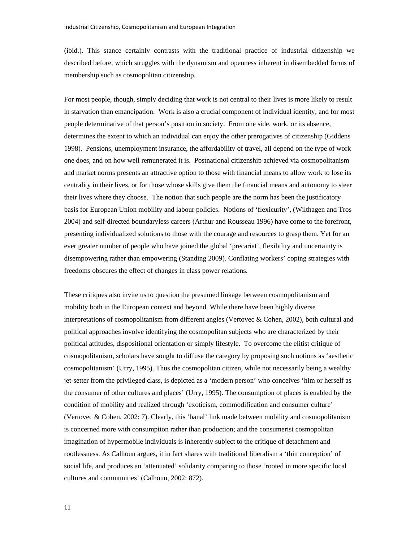(ibid.). This stance certainly contrasts with the traditional practice of industrial citizenship we described before, which struggles with the dynamism and openness inherent in disembedded forms of membership such as cosmopolitan citizenship.

For most people, though, simply deciding that work is not central to their lives is more likely to result in starvation than emancipation. Work is also a crucial component of individual identity, and for most people determinative of that person's position in society. From one side, work, or its absence, determines the extent to which an individual can enjoy the other prerogatives of citizenship (Giddens 1998). Pensions, unemployment insurance, the affordability of travel, all depend on the type of work one does, and on how well remunerated it is. Postnational citizenship achieved via cosmopolitanism and market norms presents an attractive option to those with financial means to allow work to lose its centrality in their lives, or for those whose skills give them the financial means and autonomy to steer their lives where they choose. The notion that such people are the norm has been the justificatory basis for European Union mobility and labour policies. Notions of 'flexicurity', (Wilthagen and Tros 2004) and self-directed boundaryless careers (Arthur and Rousseau 1996) have come to the forefront, presenting individualized solutions to those with the courage and resources to grasp them. Yet for an ever greater number of people who have joined the global 'precariat', flexibility and uncertainty is disempowering rather than empowering (Standing 2009). Conflating workers' coping strategies with freedoms obscures the effect of changes in class power relations.

These critiques also invite us to question the presumed linkage between cosmopolitanism and mobility both in the European context and beyond. While there have been highly diverse interpretations of cosmopolitanism from different angles (Vertovec & Cohen, 2002), both cultural and political approaches involve identifying the cosmopolitan subjects who are characterized by their political attitudes, dispositional orientation or simply lifestyle. To overcome the elitist critique of cosmopolitanism, scholars have sought to diffuse the category by proposing such notions as 'aesthetic cosmopolitanism' (Urry, 1995). Thus the cosmopolitan citizen, while not necessarily being a wealthy jet-setter from the privileged class, is depicted as a 'modern person' who conceives 'him or herself as the consumer of other cultures and places' (Urry, 1995). The consumption of places is enabled by the condition of mobility and realized through 'exoticism, commodification and consumer culture' (Vertovec & Cohen, 2002: 7). Clearly, this 'banal' link made between mobility and cosmopolitanism is concerned more with consumption rather than production; and the consumerist cosmopolitan imagination of hypermobile individuals is inherently subject to the critique of detachment and rootlessness. As Calhoun argues, it in fact shares with traditional liberalism a 'thin conception' of social life, and produces an 'attenuated' solidarity comparing to those 'rooted in more specific local cultures and communities' (Calhoun, 2002: 872).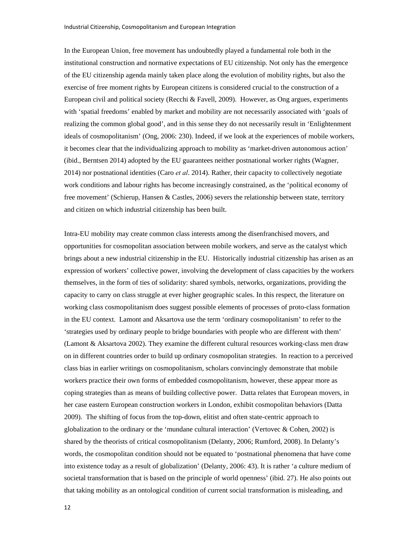In the European Union, free movement has undoubtedly played a fundamental role both in the institutional construction and normative expectations of EU citizenship. Not only has the emergence of the EU citizenship agenda mainly taken place along the evolution of mobility rights, but also the exercise of free moment rights by European citizens is considered crucial to the construction of a European civil and political society (Recchi & Favell, 2009). However, as Ong argues, experiments with 'spatial freedoms' enabled by market and mobility are not necessarily associated with 'goals of realizing the common global good', and in this sense they do not necessarily result in 'Enlightenment ideals of cosmopolitanism' (Ong, 2006: 230). Indeed, if we look at the experiences of mobile workers, it becomes clear that the individualizing approach to mobility as 'market-driven autonomous action' (ibid., Berntsen 2014) adopted by the EU guarantees neither postnational worker rights (Wagner, 2014) nor postnational identities (Caro *et al*. 2014). Rather, their capacity to collectively negotiate work conditions and labour rights has become increasingly constrained, as the 'political economy of free movement' (Schierup, Hansen & Castles, 2006) severs the relationship between state, territory and citizen on which industrial citizenship has been built.

Intra-EU mobility may create common class interests among the disenfranchised movers, and opportunities for cosmopolitan association between mobile workers, and serve as the catalyst which brings about a new industrial citizenship in the EU. Historically industrial citizenship has arisen as an expression of workers' collective power, involving the development of class capacities by the workers themselves, in the form of ties of solidarity: shared symbols, networks, organizations, providing the capacity to carry on class struggle at ever higher geographic scales. In this respect, the literature on working class cosmopolitanism does suggest possible elements of processes of proto-class formation in the EU context. Lamont and Aksartova use the term 'ordinary cosmopolitanism' to refer to the 'strategies used by ordinary people to bridge boundaries with people who are different with them' (Lamont & Aksartova 2002). They examine the different cultural resources working-class men draw on in different countries order to build up ordinary cosmopolitan strategies. In reaction to a perceived class bias in earlier writings on cosmopolitanism, scholars convincingly demonstrate that mobile workers practice their own forms of embedded cosmopolitanism, however, these appear more as coping strategies than as means of building collective power. Datta relates that European movers, in her case eastern European construction workers in London, exhibit cosmopolitan behaviors (Datta 2009). The shifting of focus from the top-down, elitist and often state-centric approach to globalization to the ordinary or the 'mundane cultural interaction' (Vertovec  $\&$  Cohen, 2002) is shared by the theorists of critical cosmopolitanism (Delanty, 2006; Rumford, 2008). In Delanty's words, the cosmopolitan condition should not be equated to 'postnational phenomena that have come into existence today as a result of globalization' (Delanty, 2006: 43). It is rather 'a culture medium of societal transformation that is based on the principle of world openness' (ibid. 27). He also points out that taking mobility as an ontological condition of current social transformation is misleading, and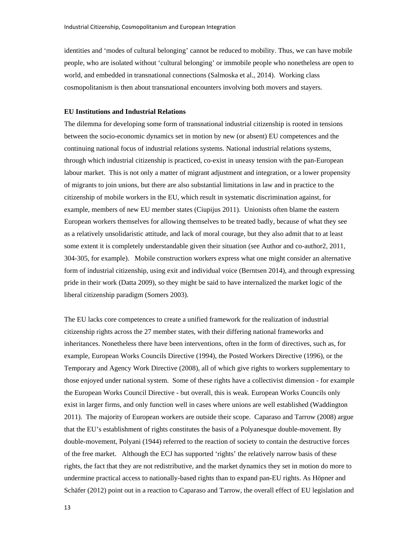identities and 'modes of cultural belonging' cannot be reduced to mobility. Thus, we can have mobile people, who are isolated without 'cultural belonging' or immobile people who nonetheless are open to world, and embedded in transnational connections (Salmoska et al., 2014). Working class cosmopolitanism is then about transnational encounters involving both movers and stayers.

#### **EU Institutions and Industrial Relations**

The dilemma for developing some form of transnational industrial citizenship is rooted in tensions between the socio-economic dynamics set in motion by new (or absent) EU competences and the continuing national focus of industrial relations systems. National industrial relations systems, through which industrial citizenship is practiced, co-exist in uneasy tension with the pan-European labour market. This is not only a matter of migrant adjustment and integration, or a lower propensity of migrants to join unions, but there are also substantial limitations in law and in practice to the citizenship of mobile workers in the EU, which result in systematic discrimination against, for example, members of new EU member states (Ciupijus 2011). Unionists often blame the eastern European workers themselves for allowing themselves to be treated badly, because of what they see as a relatively unsolidaristic attitude, and lack of moral courage, but they also admit that to at least some extent it is completely understandable given their situation (see Author and co-author2, 2011, 304-305, for example). Mobile construction workers express what one might consider an alternative form of industrial citizenship, using exit and individual voice (Berntsen 2014), and through expressing pride in their work (Datta 2009), so they might be said to have internalized the market logic of the liberal citizenship paradigm (Somers 2003).

The EU lacks core competences to create a unified framework for the realization of industrial citizenship rights across the 27 member states, with their differing national frameworks and inheritances. Nonetheless there have been interventions, often in the form of directives, such as, for example, European Works Councils Directive (1994), the Posted Workers Directive (1996), or the Temporary and Agency Work Directive (2008), all of which give rights to workers supplementary to those enjoyed under national system. Some of these rights have a collectivist dimension - for example the European Works Council Directive - but overall, this is weak. European Works Councils only exist in larger firms, and only function well in cases where unions are well established (Waddington 2011). The majority of European workers are outside their scope. Caparaso and Tarrow (2008) argue that the EU's establishment of rights constitutes the basis of a Polyanesque double-movement. By double-movement, Polyani (1944) referred to the reaction of society to contain the destructive forces of the free market. Although the ECJ has supported 'rights' the relatively narrow basis of these rights, the fact that they are not redistributive, and the market dynamics they set in motion do more to undermine practical access to nationally-based rights than to expand pan-EU rights. As Höpner and Schäfer (2012) point out in a reaction to Caparaso and Tarrow, the overall effect of EU legislation and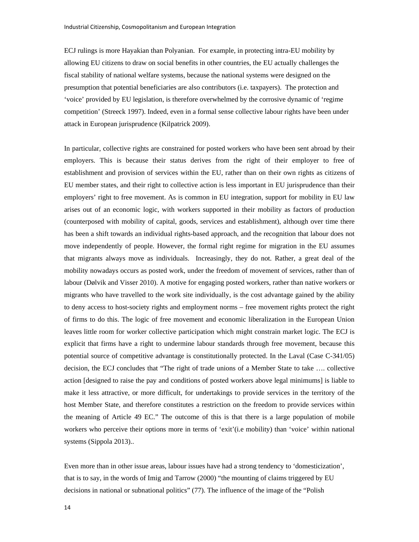ECJ rulings is more Hayakian than Polyanian. For example, in protecting intra-EU mobility by allowing EU citizens to draw on social benefits in other countries, the EU actually challenges the fiscal stability of national welfare systems, because the national systems were designed on the presumption that potential beneficiaries are also contributors (i.e. taxpayers). The protection and 'voice' provided by EU legislation, is therefore overwhelmed by the corrosive dynamic of 'regime competition' (Streeck 1997). Indeed, even in a formal sense collective labour rights have been under attack in European jurisprudence (Kilpatrick 2009).

In particular, collective rights are constrained for posted workers who have been sent abroad by their employers. This is because their status derives from the right of their employer to free of establishment and provision of services within the EU, rather than on their own rights as citizens of EU member states, and their right to collective action is less important in EU jurisprudence than their employers' right to free movement. As is common in EU integration, support for mobility in EU law arises out of an economic logic, with workers supported in their mobility as factors of production (counterposed with mobility of capital, goods, services and establishment), although over time there has been a shift towards an individual rights-based approach, and the recognition that labour does not move independently of people. However, the formal right regime for migration in the EU assumes that migrants always move as individuals. Increasingly, they do not. Rather, a great deal of the mobility nowadays occurs as posted work, under the freedom of movement of services, rather than of labour (Dølvik and Visser 2010). A motive for engaging posted workers, rather than native workers or migrants who have travelled to the work site individually, is the cost advantage gained by the ability to deny access to host-society rights and employment norms – free movement rights protect the right of firms to do this. The logic of free movement and economic liberalization in the European Union leaves little room for worker collective participation which might constrain market logic. The ECJ is explicit that firms have a right to undermine labour standards through free movement, because this potential source of competitive advantage is constitutionally protected. In the Laval (Case C-341/05) decision, the ECJ concludes that "The right of trade unions of a Member State to take …. collective action [designed to raise the pay and conditions of posted workers above legal minimums] is liable to make it less attractive, or more difficult, for undertakings to provide services in the territory of the host Member State, and therefore constitutes a restriction on the freedom to provide services within the meaning of Article 49 EC." The outcome of this is that there is a large population of mobile workers who perceive their options more in terms of 'exit'(i.e mobility) than 'voice' within national systems (Sippola 2013)..

Even more than in other issue areas, labour issues have had a strong tendency to 'domesticization', that is to say, in the words of Imig and Tarrow (2000) "the mounting of claims triggered by EU decisions in national or subnational politics" (77). The influence of the image of the "Polish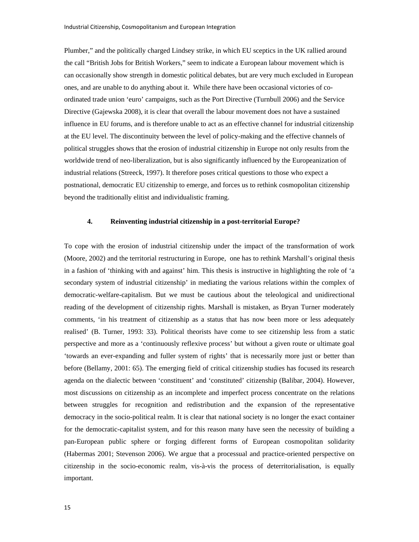Plumber," and the politically charged Lindsey strike, in which EU sceptics in the UK rallied around the call "British Jobs for British Workers," seem to indicate a European labour movement which is can occasionally show strength in domestic political debates, but are very much excluded in European ones, and are unable to do anything about it. While there have been occasional victories of coordinated trade union 'euro' campaigns, such as the Port Directive (Turnbull 2006) and the Service Directive (Gajewska 2008), it is clear that overall the labour movement does not have a sustained influence in EU forums, and is therefore unable to act as an effective channel for industrial citizenship at the EU level. The discontinuity between the level of policy-making and the effective channels of political struggles shows that the erosion of industrial citizenship in Europe not only results from the worldwide trend of neo-liberalization, but is also significantly influenced by the Europeanization of industrial relations (Streeck, 1997). It therefore poses critical questions to those who expect a postnational, democratic EU citizenship to emerge, and forces us to rethink cosmopolitan citizenship beyond the traditionally elitist and individualistic framing.

### **4. Reinventing industrial citizenship in a post-territorial Europe?**

To cope with the erosion of industrial citizenship under the impact of the transformation of work (Moore, 2002) and the territorial restructuring in Europe, one has to rethink Marshall's original thesis in a fashion of 'thinking with and against' him. This thesis is instructive in highlighting the role of 'a secondary system of industrial citizenship' in mediating the various relations within the complex of democratic-welfare-capitalism. But we must be cautious about the teleological and unidirectional reading of the development of citizenship rights. Marshall is mistaken, as Bryan Turner moderately comments, 'in his treatment of citizenship as a status that has now been more or less adequately realised' (B. Turner, 1993: 33). Political theorists have come to see citizenship less from a static perspective and more as a 'continuously reflexive process' but without a given route or ultimate goal 'towards an ever-expanding and fuller system of rights' that is necessarily more just or better than before (Bellamy, 2001: 65). The emerging field of critical citizenship studies has focused its research agenda on the dialectic between 'constituent' and 'constituted' citizenship (Balibar, 2004). However, most discussions on citizenship as an incomplete and imperfect process concentrate on the relations between struggles for recognition and redistribution and the expansion of the representative democracy in the socio-political realm. It is clear that national society is no longer the exact container for the democratic-capitalist system, and for this reason many have seen the necessity of building a pan-European public sphere or forging different forms of European cosmopolitan solidarity (Habermas 2001; Stevenson 2006). We argue that a processual and practice-oriented perspective on citizenship in the socio-economic realm, vis-à-vis the process of deterritorialisation, is equally important.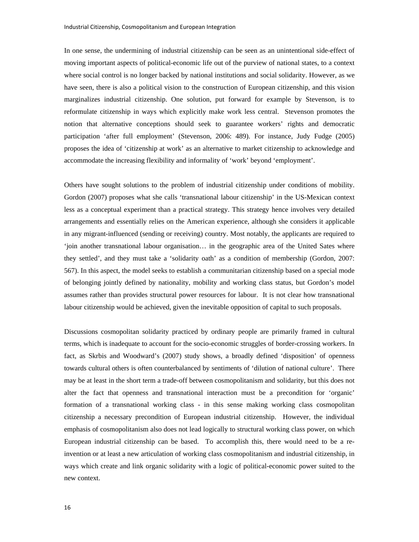In one sense, the undermining of industrial citizenship can be seen as an unintentional side-effect of moving important aspects of political-economic life out of the purview of national states, to a context where social control is no longer backed by national institutions and social solidarity. However, as we have seen, there is also a political vision to the construction of European citizenship, and this vision marginalizes industrial citizenship. One solution, put forward for example by Stevenson, is to reformulate citizenship in ways which explicitly make work less central. Stevenson promotes the notion that alternative conceptions should seek to guarantee workers' rights and democratic participation 'after full employment' (Stevenson, 2006: 489). For instance, Judy Fudge (2005) proposes the idea of 'citizenship at work' as an alternative to market citizenship to acknowledge and accommodate the increasing flexibility and informality of 'work' beyond 'employment'.

Others have sought solutions to the problem of industrial citizenship under conditions of mobility. Gordon (2007) proposes what she calls 'transnational labour citizenship' in the US-Mexican context less as a conceptual experiment than a practical strategy. This strategy hence involves very detailed arrangements and essentially relies on the American experience, although she considers it applicable in any migrant-influenced (sending or receiving) country. Most notably, the applicants are required to 'join another transnational labour organisation… in the geographic area of the United Sates where they settled', and they must take a 'solidarity oath' as a condition of membership (Gordon, 2007: 567). In this aspect, the model seeks to establish a communitarian citizenship based on a special mode of belonging jointly defined by nationality, mobility and working class status, but Gordon's model assumes rather than provides structural power resources for labour. It is not clear how transnational labour citizenship would be achieved, given the inevitable opposition of capital to such proposals.

Discussions cosmopolitan solidarity practiced by ordinary people are primarily framed in cultural terms, which is inadequate to account for the socio-economic struggles of border-crossing workers. In fact, as Skrbis and Woodward's (2007) study shows, a broadly defined 'disposition' of openness towards cultural others is often counterbalanced by sentiments of 'dilution of national culture'. There may be at least in the short term a trade-off between cosmopolitanism and solidarity, but this does not alter the fact that openness and transnational interaction must be a precondition for 'organic' formation of a transnational working class - in this sense making working class cosmopolitan citizenship a necessary precondition of European industrial citizenship. However, the individual emphasis of cosmopolitanism also does not lead logically to structural working class power, on which European industrial citizenship can be based. To accomplish this, there would need to be a reinvention or at least a new articulation of working class cosmopolitanism and industrial citizenship, in ways which create and link organic solidarity with a logic of political-economic power suited to the new context.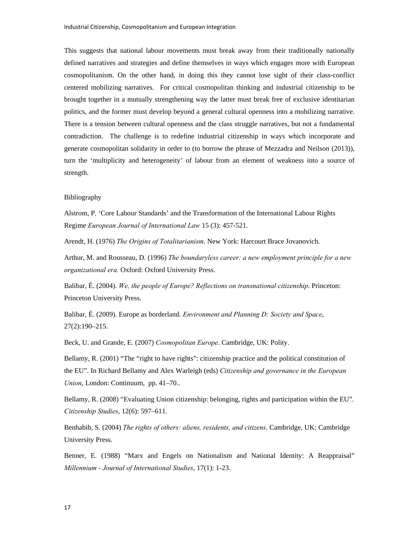This suggests that national labour movements must break away from their traditionally nationally defined narratives and strategies and define themselves in ways which engages more with European cosmopolitanism. On the other hand, in doing this they cannot lose sight of their class-conflict centered mobilizing narratives. For critical cosmopolitan thinking and industrial citizenship to be brought together in a mutually strengthening way the latter must break free of exclusive identitarian politics, and the former must develop beyond a general cultural openness into a mobilizing narrative. There is a tension between cultural openness and the class struggle narratives, but not a fundamental contradiction. The challenge is to redefine industrial citizenship in ways which incorporate and generate cosmopolitan solidarity in order to (to borrow the phrase of Mezzadra and Neilson (2013)), turn the 'multiplicity and heterogeneity' of labour from an element of weakness into a source of strength.

#### Bibliography

Alstrom, P. 'Core Labour Standards' and the Transformation of the International Labour Rights Regime *European Journal of International Law* 15 (3): 457-521.

Arendt, H. (1976) *The Origins of Totalitarianism*. New York: Harcourt Brace Jovanovich.

Arthur, M. and Rousseau, D. (1996) *The boundaryless career: a new employment principle for a new organizational era.* Oxford: Oxford University Press.

Balibar, É. (2004). *We, the people of Europe? Reflections on transnational citizenship*. Princeton: Princeton University Press.

Balibar, É. (2009). Europe as borderland. *Environment and Planning D: Society and Space*, 27(2):190–215.

Beck, U. and Grande, E. (2007) *Cosmopolitan Europe*. Cambridge, UK: Polity.

Bellamy, R. (2001) "The "right to have rights": citizenship practice and the political constitution of the EU". In Richard Bellamy and Alex Warleigh (eds) *Citizenship and governance in the European Union*, London: Continuum, pp. 41–70..

Bellamy, R. (2008) "Evaluating Union citizenship: belonging, rights and participation within the EU". *Citizenship Studies*, 12(6): 597–611.

Benhabib, S. (2004) *The rights of others: aliens, residents, and citizens*. Cambridge, UK: Cambridge University Press.

Benner, E. (1988) "Marx and Engels on Nationalism and National Identity: A Reappraisal" *Millennium - Journal of International Studies*, 17(1): 1-23.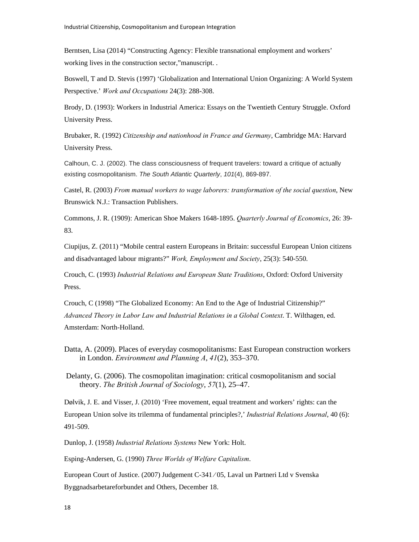Berntsen, Lisa (2014) "Constructing Agency: Flexible transnational employment and workers' working lives in the construction sector,"manuscript. .

Boswell, T and D. Stevis (1997) 'Globalization and International Union Organizing: A World System Perspective.' *Work and Occupations* 24(3): 288-308.

Brody, D. (1993): Workers in Industrial America: Essays on the Twentieth Century Struggle. Oxford University Press.

Brubaker, R. (1992) *Citizenship and nationhood in France and Germany*, Cambridge MA: Harvard University Press.

Calhoun, C. J. (2002). The class consciousness of frequent travelers: toward a critique of actually existing cosmopolitanism. *The South Atlantic Quarterly*, *101*(4), 869-897.

Castel, R. (2003) *From manual workers to wage laborers: transformation of the social question*, New Brunswick N.J.: Transaction Publishers.

Commons, J. R. (1909): American Shoe Makers 1648-1895. *Quarterly Journal of Economics*, 26: 39- 83.

Ciupijus, Z. (2011) "Mobile central eastern Europeans in Britain: successful European Union citizens and disadvantaged labour migrants?" *Work, Employment and Society*, 25(3): 540-550.

Crouch, C. (1993) *Industrial Relations and European State Traditions*, Oxford: Oxford University Press.

Crouch, C (1998) "The Globalized Economy: An End to the Age of Industrial Citizenship?" *Advanced Theory in Labor Law and Industrial Relations in a Global Context*. T. Wilthagen, ed. Amsterdam: North-Holland.

Datta, A. (2009). Places of everyday cosmopolitanisms: East European construction workers in London. *Environment and Planning A*, *41*(2), 353–370.

 Delanty, G. (2006). The cosmopolitan imagination: critical cosmopolitanism and social theory. *The British Journal of Sociology*, *57*(1), 25–47.

Dølvik, J. E. and Visser, J. (2010) 'Free movement, equal treatment and workers' rights: can the European Union solve its trilemma of fundamental principles?,' *Industrial Relations Journal*, 40 (6): 491-509.

Dunlop, J. (1958) *Industrial Relations Systems* New York: Holt.

Esping-Andersen, G. (1990) *Three Worlds of Welfare Capitalism*.

European Court of Justice. (2007) Judgement C-341 ⁄ 05, Laval un Partneri Ltd v Svenska Byggnadsarbetareforbundet and Others, December 18.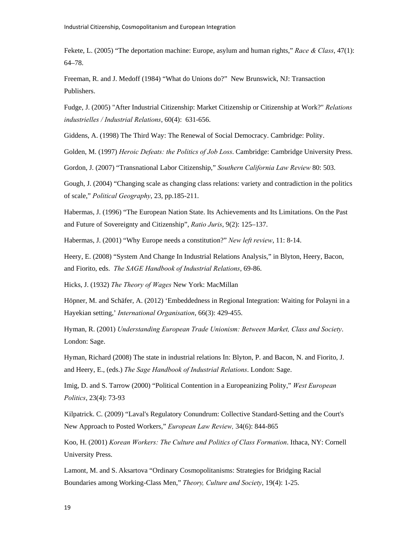Fekete, L. (2005) "The deportation machine: Europe, asylum and human rights," *Race & Class*, 47(1): 64–78.

Freeman, R. and J. Medoff (1984) "What do Unions do?" New Brunswick, NJ: Transaction Publishers.

Fudge, J. (2005) "After Industrial Citizenship: Market Citizenship or Citizenship at Work?" *Relations industrielles / Industrial Relations*, 60(4): 631-656.

Giddens, A. (1998) The Third Way: The Renewal of Social Democracy. Cambridge: Polity.

Golden, M. (1997) *Heroic Defeats: the Politics of Job Loss*. Cambridge: Cambridge University Press.

Gordon, J. (2007) "Transnational Labor Citizenship," *Southern California Law Review* 80: 503.

Gough, J. (2004) "Changing scale as changing class relations: variety and contradiction in the politics of scale," *Political Geography*, 23, pp.185-211.

Habermas, J. (1996) "The European Nation State. Its Achievements and Its Limitations. On the Past and Future of Sovereignty and Citizenship", *Ratio Juris*, 9(2): 125–137.

Habermas, J. (2001) "Why Europe needs a constitution?" *New left review*, 11: 8-14.

Heery, E. (2008) "System And Change In Industrial Relations Analysis," in Blyton, Heery, Bacon, and Fiorito, eds. *The SAGE Handbook of Industrial Relations*, 69-86.

Hicks, J. (1932) *The Theory of Wages* New York: MacMillan

Höpner, M. and Schäfer, A. (2012) 'Embeddedness in Regional Integration: Waiting for Polayni in a Hayekian setting,' *International Organisation*, 66(3): 429-455.

Hyman, R. (2001) *Understanding European Trade Unionism: Between Market, Class and Society*. London: Sage.

Hyman, Richard (2008) The state in industrial relations In: Blyton, P. and Bacon, N. and Fiorito, J. and Heery, E., (eds.) *The Sage Handbook of Industrial Relations*. London: Sage.

Imig, D. and S. Tarrow (2000) "Political Contention in a Europeanizing Polity," *West European Politics*, 23(4): 73-93

Kilpatrick. C. (2009) "Laval's Regulatory Conundrum: Collective Standard-Setting and the Court's New Approach to Posted Workers," *European Law Review,* 34(6): 844-865

Koo, H. (2001) *Korean Workers: The Culture and Politics of Class Formation*. Ithaca, NY: Cornell University Press.

Lamont, M. and S. Aksartova "Ordinary Cosmopolitanisms: Strategies for Bridging Racial Boundaries among Working-Class Men," *Theory, Culture and Society*, 19(4): 1-25.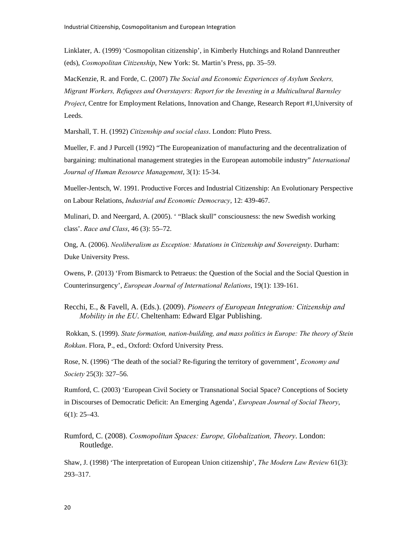Linklater, A. (1999) 'Cosmopolitan citizenship', in Kimberly Hutchings and Roland Dannreuther (eds), *Cosmopolitan Citizenship*, New York: St. Martin's Press, pp. 35–59.

MacKenzie, R. and Forde, C. (2007) *The Social and Economic Experiences of Asylum Seekers, Migrant Workers, Refugees and Overstayers: Report for the Investing in a Multicultural Barnsley Project*, Centre for Employment Relations, Innovation and Change, Research Report #1,University of Leeds.

Marshall, T. H. (1992) *Citizenship and social class*. London: Pluto Press.

Mueller, F. and J Purcell (1992) "The Europeanization of manufacturing and the decentralization of bargaining: multinational management strategies in the European automobile industry" *International Journal of Human Resource Management*, 3(1): 15-34.

Mueller-Jentsch, W. 1991. Productive Forces and Industrial Citizenship: An Evolutionary Perspective on Labour Relations, *Industrial and Economic Democracy*, 12: 439-467.

Mulinari, D. and Neergard, A. (2005). ' "Black skull" consciousness: the new Swedish working class'. *Race and Class*, 46 (3): 55–72.

Ong, A. (2006). *Neoliberalism as Exception: Mutations in Citizenship and Sovereignty*. Durham: Duke University Press.

Owens, P. (2013) 'From Bismarck to Petraeus: the Question of the Social and the Social Question in Counterinsurgency', *European Journal of International Relations*, 19(1): 139-161.

Recchi, E., & Favell, A. (Eds.). (2009). *Pioneers of European Integration: Citizenship and Mobility in the EU*. Cheltenham: Edward Elgar Publishing.

 Rokkan, S. (1999). *State formation, nation-building, and mass politics in Europe: The theory of Stein Rokkan*. Flora, P., ed., Oxford: Oxford University Press.

Rose, N. (1996) 'The death of the social? Re-figuring the territory of government', *Economy and Society* 25(3): 327–56.

Rumford, C. (2003) 'European Civil Society or Transnational Social Space? Conceptions of Society in Discourses of Democratic Deficit: An Emerging Agenda', *European Journal of Social Theory*, 6(1): 25–43.

Rumford, C. (2008). *Cosmopolitan Spaces: Europe, Globalization, Theory*. London: Routledge.

Shaw, J. (1998) 'The interpretation of European Union citizenship', *The Modern Law Review* 61(3): 293–317.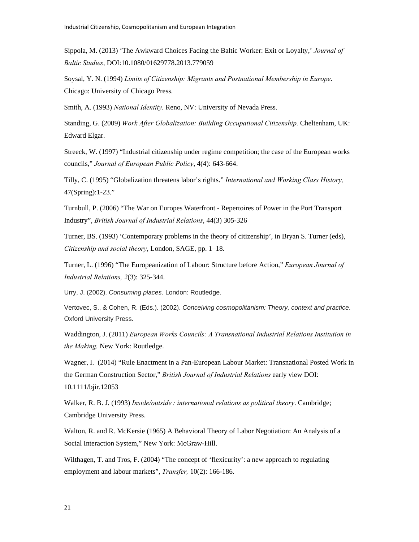Sippola, M. (2013) 'The Awkward Choices Facing the Baltic Worker: Exit or Loyalty,' *Journal of Baltic Studies*, DOI:10.1080/01629778.2013.779059

Soysal, Y. N. (1994) *Limits of Citizenship: Migrants and Postnational Membership in Europe*. Chicago: University of Chicago Press.

Smith, A. (1993) *National Identity.* Reno, NV: University of Nevada Press.

Standing, G. (2009) *Work After Globalization: Building Occupational Citizenship.* Cheltenham, UK: Edward Elgar.

Streeck, W. (1997) "Industrial citizenship under regime competition; the case of the European works councils," *Journal of European Public Policy*, 4(4): 643-664.

Tilly, C. (1995) "Globalization threatens labor's rights." *International and Working Class History,* 47(Spring):1-23."

Turnbull, P. (2006) "The War on Europes Waterfront - Repertoires of Power in the Port Transport Industry", *British Journal of Industrial Relations*, 44(3) 305-326

Turner, BS. (1993) 'Contemporary problems in the theory of citizenship', in Bryan S. Turner (eds), *Citizenship and social theory*, London, SAGE, pp. 1–18.

Turner, L. (1996) "The Europeanization of Labour: Structure before Action," *European Journal of Industrial Relations, 2*(3): 325-344.

Urry, J. (2002). *Consuming places*. London: Routledge.

Vertovec, S., & Cohen, R. (Eds.). (2002). *Conceiving cosmopolitanism: Theory, context and practice*. Oxford University Press.

Waddington, J. (2011) *European Works Councils: A Transnational Industrial Relations Institution in the Making.* New York: Routledge.

Wagner, I. (2014) "Rule Enactment in a Pan-European Labour Market: Transnational Posted Work in the German Construction Sector," *British Journal of Industrial Relations* early view DOI: 10.1111/bjir.12053

Walker, R. B. J. (1993) *Inside/outside : international relations as political theory*. Cambridge; Cambridge University Press.

Walton, R. and R. McKersie (1965) A Behavioral Theory of Labor Negotiation: An Analysis of a Social Interaction System," New York: McGraw-Hill.

Wilthagen, T. and Tros, F. (2004) "The concept of 'flexicurity': a new approach to regulating employment and labour markets", *Transfer,* 10(2): 166-186.